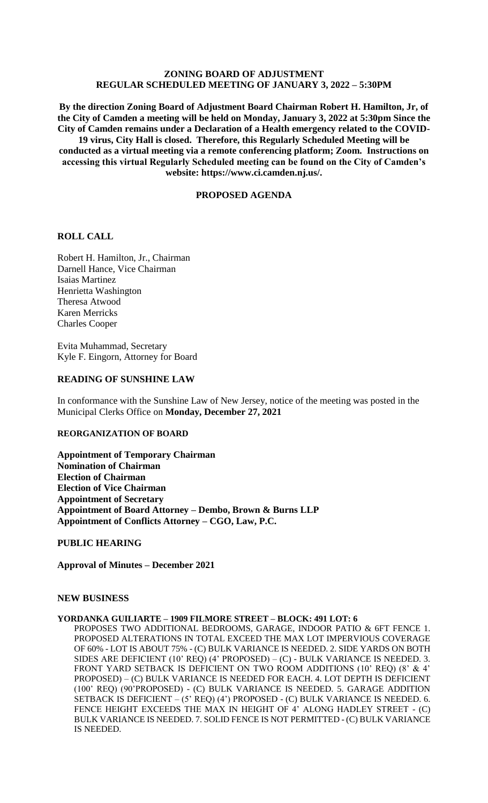# **ZONING BOARD OF ADJUSTMENT REGULAR SCHEDULED MEETING OF JANUARY 3, 2022 – 5:30PM**

**By the direction Zoning Board of Adjustment Board Chairman Robert H. Hamilton, Jr, of the City of Camden a meeting will be held on Monday, January 3, 2022 at 5:30pm Since the City of Camden remains under a Declaration of a Health emergency related to the COVID-19 virus, City Hall is closed. Therefore, this Regularly Scheduled Meeting will be conducted as a virtual meeting via a remote conferencing platform; Zoom. Instructions on accessing this virtual Regularly Scheduled meeting can be found on the City of Camden's website: https://www.ci.camden.nj.us/.**

### **PROPOSED AGENDA**

## **ROLL CALL**

Robert H. Hamilton, Jr., Chairman Darnell Hance, Vice Chairman Isaias Martinez Henrietta Washington Theresa Atwood Karen Merricks Charles Cooper

Evita Muhammad, Secretary Kyle F. Eingorn, Attorney for Board

### **READING OF SUNSHINE LAW**

In conformance with the Sunshine Law of New Jersey, notice of the meeting was posted in the Municipal Clerks Office on **Monday, December 27, 2021**

### **REORGANIZATION OF BOARD**

**Appointment of Temporary Chairman Nomination of Chairman Election of Chairman Election of Vice Chairman Appointment of Secretary Appointment of Board Attorney – Dembo, Brown & Burns LLP Appointment of Conflicts Attorney – CGO, Law, P.C.**

**PUBLIC HEARING**

**Approval of Minutes – December 2021**

#### **NEW BUSINESS**

#### **YORDANKA GUILIARTE – 1909 FILMORE STREET – BLOCK: 491 LOT: 6**

PROPOSES TWO ADDITIONAL BEDROOMS, GARAGE, INDOOR PATIO & 6FT FENCE 1. PROPOSED ALTERATIONS IN TOTAL EXCEED THE MAX LOT IMPERVIOUS COVERAGE OF 60% - LOT IS ABOUT 75% - (C) BULK VARIANCE IS NEEDED. 2. SIDE YARDS ON BOTH SIDES ARE DEFICIENT (10' REQ) (4' PROPOSED) – (C) - BULK VARIANCE IS NEEDED. 3. FRONT YARD SETBACK IS DEFICIENT ON TWO ROOM ADDITIONS (10' REQ) (8' & 4' PROPOSED) – (C) BULK VARIANCE IS NEEDED FOR EACH. 4. LOT DEPTH IS DEFICIENT (100' REQ) (90'PROPOSED) - (C) BULK VARIANCE IS NEEDED. 5. GARAGE ADDITION SETBACK IS DEFICIENT – (5' REQ) (4') PROPOSED - (C) BULK VARIANCE IS NEEDED. 6. FENCE HEIGHT EXCEEDS THE MAX IN HEIGHT OF 4' ALONG HADLEY STREET - (C) BULK VARIANCE IS NEEDED. 7. SOLID FENCE IS NOT PERMITTED - (C) BULK VARIANCE IS NEEDED.